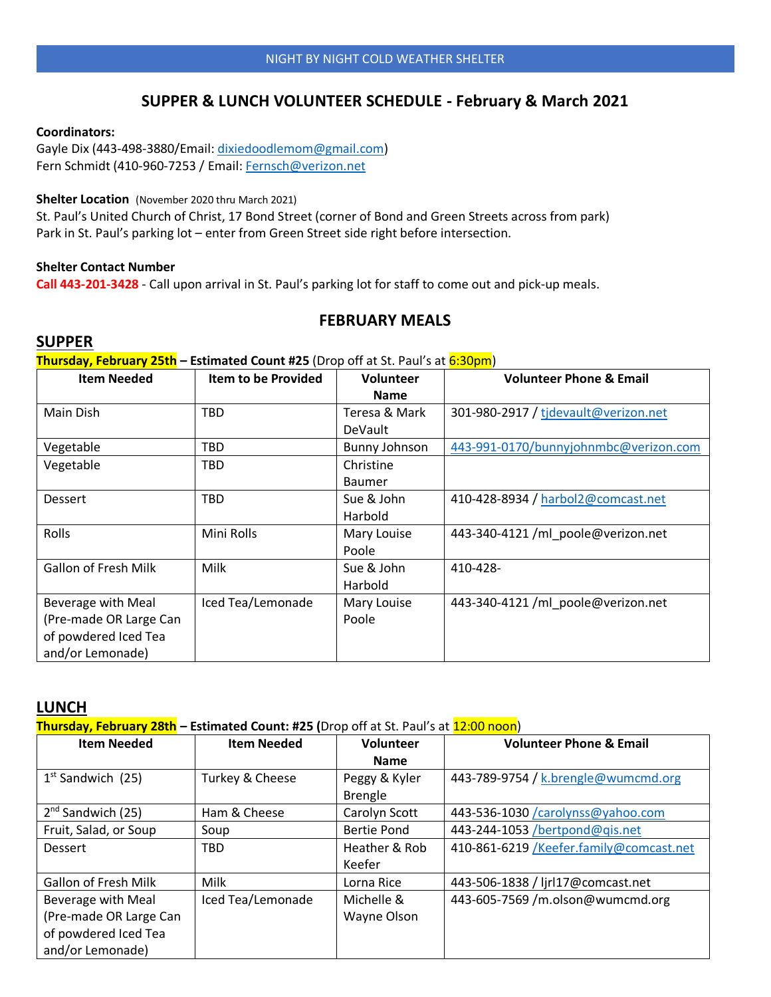### **SUPPER & LUNCH VOLUNTEER SCHEDULE - February & March 2021**

#### **Coordinators:**

Gayle Dix (443-498-3880/Email: [dixiedoodlemom@gmail.com\)](mailto:dixiedoodlemom@gmail.com) Fern Schmidt (410-960-7253 / Email: [Fernsch@verizon.net](mailto:Fernsch@verizon.net)

#### **Shelter Location** (November 2020 thru March 2021)

St. Paul's United Church of Christ, 17 Bond Street (corner of Bond and Green Streets across from park) Park in St. Paul's parking lot – enter from Green Street side right before intersection.

#### **Shelter Contact Number**

**Call 443-201-3428** - Call upon arrival in St. Paul's parking lot for staff to come out and pick-up meals.

### **FEBRUARY MEALS**

### **SUPPER**

**Thursday, February 25th – Estimated Count #25** (Drop off at St. Paul's at 6:30pm)

| <b>Item Needed</b>          | <b>Item to be Provided</b> | Volunteer      | <b>Volunteer Phone &amp; Email</b>    |
|-----------------------------|----------------------------|----------------|---------------------------------------|
|                             |                            | <b>Name</b>    |                                       |
| Main Dish                   | TBD                        | Teresa & Mark  | 301-980-2917 / tidevault@verizon.net  |
|                             |                            | <b>DeVault</b> |                                       |
| Vegetable                   | <b>TBD</b>                 | Bunny Johnson  | 443-991-0170/bunnyjohnmbc@verizon.com |
| Vegetable                   | <b>TBD</b>                 | Christine      |                                       |
|                             |                            | <b>Baumer</b>  |                                       |
| Dessert                     | <b>TBD</b>                 | Sue & John     | 410-428-8934 / harbol2@comcast.net    |
|                             |                            | Harbold        |                                       |
| Rolls                       | Mini Rolls                 | Mary Louise    | 443-340-4121 /ml poole@verizon.net    |
|                             |                            | Poole          |                                       |
| <b>Gallon of Fresh Milk</b> | Milk                       | Sue & John     | 410-428-                              |
|                             |                            | Harbold        |                                       |
| Beverage with Meal          | Iced Tea/Lemonade          | Mary Louise    | 443-340-4121 /ml_poole@verizon.net    |
| (Pre-made OR Large Can      |                            | Poole          |                                       |
| of powdered Iced Tea        |                            |                |                                       |
| and/or Lemonade)            |                            |                |                                       |

#### **LUNCH**

**Thursday, February 28th – Estimated Count: #25 (**Drop off at St. Paul's at 12:00 noon)

| <b>Item Needed</b>          | <b>Item Needed</b> | <b>Volunteer</b>                | <b>Volunteer Phone &amp; Email</b>      |
|-----------------------------|--------------------|---------------------------------|-----------------------------------------|
|                             |                    | <b>Name</b>                     |                                         |
| $1st$ Sandwich (25)         | Turkey & Cheese    | Peggy & Kyler<br><b>Brengle</b> | 443-789-9754 / k.brengle@wumcmd.org     |
| $2nd$ Sandwich (25)         | Ham & Cheese       | Carolyn Scott                   | 443-536-1030 /carolynss@yahoo.com       |
| Fruit, Salad, or Soup       | Soup               | <b>Bertie Pond</b>              | 443-244-1053 /bertpond@qis.net          |
| <b>Dessert</b>              | TBD                | Heather & Rob                   | 410-861-6219 /Keefer.family@comcast.net |
|                             |                    | Keefer                          |                                         |
| <b>Gallon of Fresh Milk</b> | <b>Milk</b>        | Lorna Rice                      | 443-506-1838 / ljrl17@comcast.net       |
| Beverage with Meal          | Iced Tea/Lemonade  | Michelle &                      | 443-605-7569 /m.olson@wumcmd.org        |
| (Pre-made OR Large Can      |                    | Wayne Olson                     |                                         |
| of powdered Iced Tea        |                    |                                 |                                         |
| and/or Lemonade)            |                    |                                 |                                         |